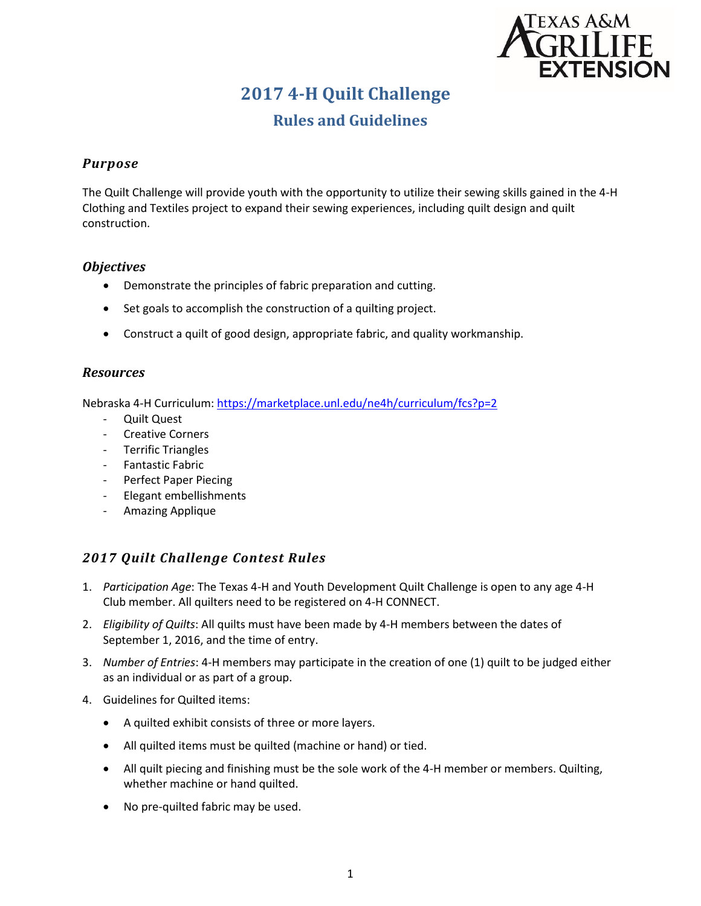

# **2017 4-H Quilt Challenge**

# **Rules and Guidelines**

### *Purpose*

The Quilt Challenge will provide youth with the opportunity to utilize their sewing skills gained in the 4-H Clothing and Textiles project to expand their sewing experiences, including quilt design and quilt construction.

### *Objectives*

- Demonstrate the principles of fabric preparation and cutting.
- Set goals to accomplish the construction of a quilting project.
- Construct a quilt of good design, appropriate fabric, and quality workmanship.

### *Resources*

Nebraska 4-H Curriculum[: https://marketplace.unl.edu/ne4h/curriculum/fcs?p=2](https://marketplace.unl.edu/ne4h/curriculum/fcs?p=2)

- Quilt Quest
- Creative Corners
- Terrific Triangles
- Fantastic Fabric
- Perfect Paper Piecing
- Elegant embellishments
- Amazing Applique

# *2017 Quilt Challenge Contest Rules*

- 1. *Participation Age*: The Texas 4-H and Youth Development Quilt Challenge is open to any age 4-H Club member. All quilters need to be registered on 4-H CONNECT.
- 2. *Eligibility of Quilts*: All quilts must have been made by 4-H members between the dates of September 1, 2016, and the time of entry.
- 3. *Number of Entries*: 4-H members may participate in the creation of one (1) quilt to be judged either as an individual or as part of a group.
- 4. Guidelines for Quilted items:
	- A quilted exhibit consists of three or more layers.
	- All quilted items must be quilted (machine or hand) or tied.
	- All quilt piecing and finishing must be the sole work of the 4-H member or members. Quilting, whether machine or hand quilted.
	- No pre-quilted fabric may be used.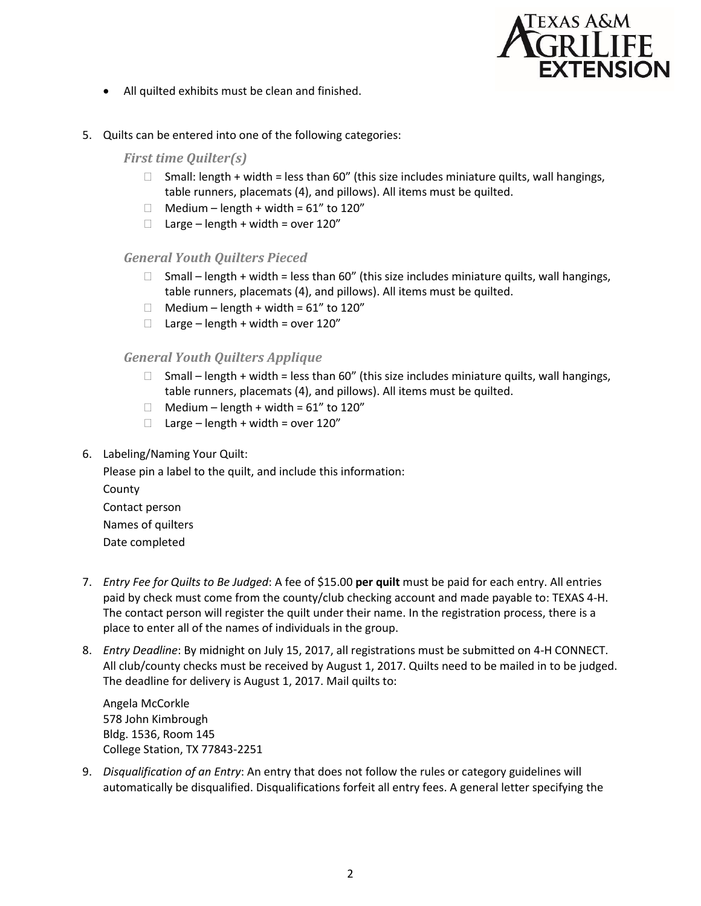

- All quilted exhibits must be clean and finished.
- 5. Quilts can be entered into one of the following categories:

*First time Quilter(s)* 

- $\Box$  Small: length + width = less than 60" (this size includes miniature quilts, wall hangings, table runners, placemats (4), and pillows). All items must be quilted.
- $\Box$  Medium length + width = 61" to 120"
- $\Box$  Large length + width = over 120"

#### *General Youth Quilters Pieced*

- $\Box$  Small length + width = less than 60" (this size includes miniature quilts, wall hangings, table runners, placemats (4), and pillows). All items must be quilted.
- $\Box$  Medium length + width = 61" to 120"
- $\Box$  Large length + width = over 120"

#### *General Youth Quilters Applique*

- $\Box$  Small length + width = less than 60" (this size includes miniature quilts, wall hangings, table runners, placemats (4), and pillows). All items must be quilted.
- $\Box$  Medium length + width = 61" to 120"
- $\Box$  Large length + width = over 120"
- 6. Labeling/Naming Your Quilt:

Please pin a label to the quilt, and include this information: County Contact person Names of quilters Date completed

- 7. *Entry Fee for Quilts to Be Judged*: A fee of \$15.00 **per quilt** must be paid for each entry. All entries paid by check must come from the county/club checking account and made payable to: TEXAS 4-H. The contact person will register the quilt under their name. In the registration process, there is a place to enter all of the names of individuals in the group.
- 8. *Entry Deadline*: By midnight on July 15, 2017, all registrations must be submitted on 4-H CONNECT. All club/county checks must be received by August 1, 2017. Quilts need to be mailed in to be judged. The deadline for delivery is August 1, 2017. Mail quilts to:

Angela McCorkle 578 John Kimbrough Bldg. 1536, Room 145 College Station, TX 77843-2251

9. *Disqualification of an Entry*: An entry that does not follow the rules or category guidelines will automatically be disqualified. Disqualifications forfeit all entry fees. A general letter specifying the